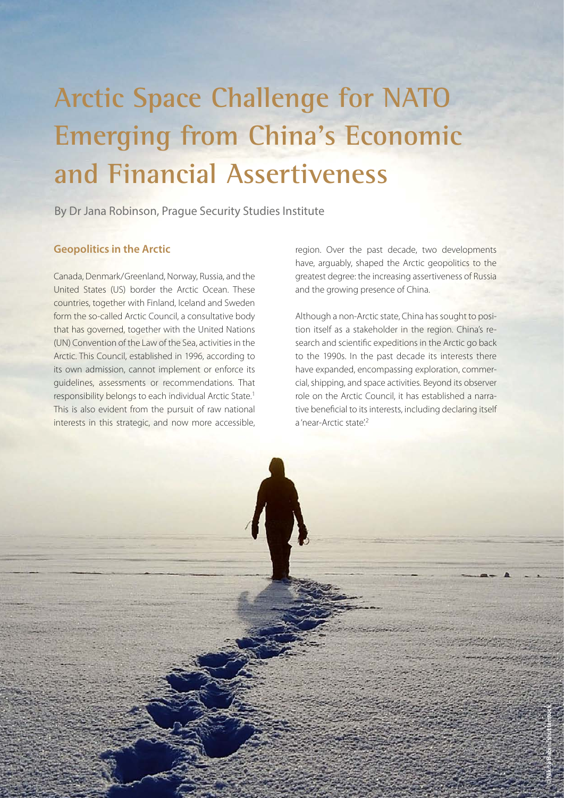# **Arctic Space Challenge for NATO Emerging from China's Economic and Financial Assertiveness**

By Dr Jana Robinson, Prague Security Studies Institute

### **Geopolitics in the Arctic**

Canada, Denmark/Greenland, Norway, Russia, and the United States (US) border the Arctic Ocean. These countries, together with Finland, Iceland and Sweden form the so-called Arctic Council, a consultative body that has governed, together with the United Nations (UN) Convention of the Law of the Sea, activities in the Arctic. This Council, established in 1996, according to its own admission, cannot implement or enforce its guidelines, assessments or recommendations. That responsibility belongs to each individual Arctic State[.1](#page-5-0) This is also evident from the pursuit of raw national interests in this strategic, and now more accessible,

region. Over the past decade, two developments have, arguably, shaped the Arctic geopolitics to the greatest degree: the increasing assertiveness of Russia and the growing presence of China.

Although a non-Arctic state, China has sought to position itself as a stakeholder in the region. China's research and scientific expeditions in the Arctic go back to the 1990s. In the past decade its interests there have expanded, encompassing exploration, commercial, shipping, and space activities. Beyond its observer role on the Arctic Council, it has established a narrative beneficial to its interests, including declaring itself a 'near-Arctic state'.<sup>2</sup>

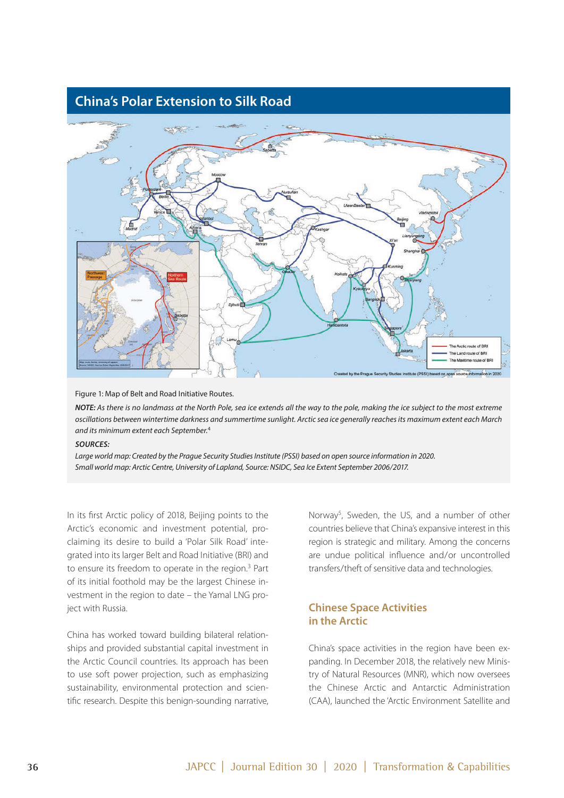# **China's Polar Extension to Silk Road**



Figure 1: Map of Belt and Road Initiative Routes.

*NOTE: As there is no landmass at the North Pole, sea ice extends all the way to the pole, making the ice subject to the most extreme oscillations between wintertime darkness and summertime sunlight. Arctic sea ice generally reaches its maximum extent each March and its minimum extent each September.*[4](#page-5-0)

#### *SOURCES:*

Large world map: Created by the Prague Security Studies Institute (PSSI) based on open source information in 2020. *Small world map: Arctic Centre, University of Lapland, Source: NSIDC, Sea Ice Extent September 2006/2017.*

In its first Arctic policy of 2018, Beijing points to the Arctic's economic and investment potential, proclaiming its desire to build a 'Polar Silk Road' integrated into its larger Belt and Road Initiative (BRI) and to ensure its freedom to operate in the region.<sup>[3](#page-5-0)</sup> Part of its initial foothold may be the largest Chinese investment in the region to date – the Yamal LNG project with Russia.

China has worked toward building bilateral relationships and provided substantial capital investment in the Arctic Council countries. Its approach has been to use soft power projection, such as emphasizing sustainability, environmental protection and scientific research. Despite this benign-sounding narrative, Norway<sup>5</sup>, Sweden, the US, and a number of other countries believe that China's expansive interest in this region is strategic and military. Among the concerns are undue political influence and/or uncontrolled transfers/theft of sensitive data and technologies.

## **Chinese Space Activities in the Arctic**

China's space activities in the region have been expanding. In December 2018, the relatively new Ministry of Natural Resources (MNR), which now oversees the Chinese Arctic and Antarctic Administration (CAA), launched the 'Arctic Environment Satellite and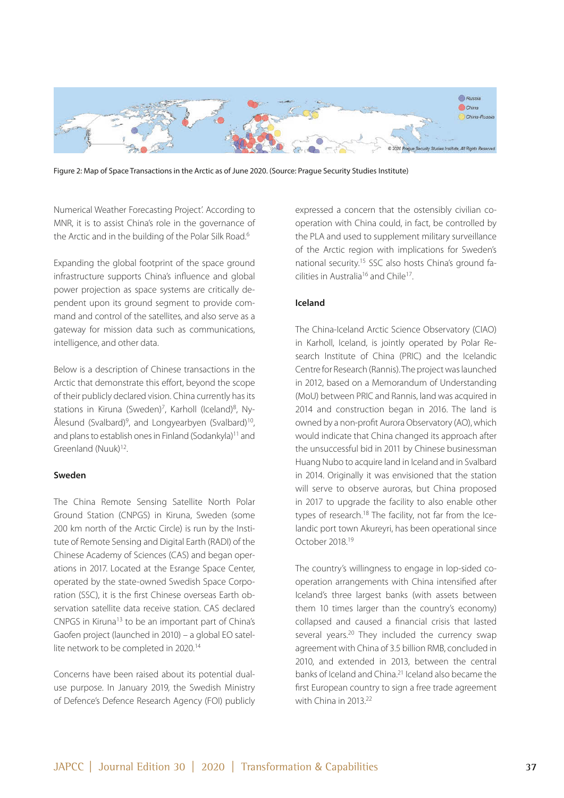

Figure 2: Map of Space Transactions in the Arctic as of June 2020. (Source: Prague Security Studies Institute)

Numerical Weather Forecasting Project'. According to MNR, it is to assist China's role in the governance of the Arctic and in the building of the Polar Silk Road.<sup>6</sup>

Expanding the global footprint of the space ground infrastructure supports China's influence and global power projection as space systems are critically dependent upon its ground segment to provide command and control of the satellites, and also serve as a gateway for mission data such as communications, intelligence, and other data.

Below is a description of Chinese transactions in the Arctic that demonstrate this effort, beyond the scope of their publicly declared vision. China currently has its stations in Kiruna (Sweden)<sup>[7](#page-5-0)</sup>, Karholl (Iceland)<sup>8</sup>, Ny-Ålesund (Svalbard)<sup>[9](#page-5-0)</sup>, and Longyearbyen (Svalbard)<sup>10</sup>, and plans to establish ones in Finland (Sodankyla)<sup>11</sup> and Greenland (Nuuk)<sup>12</sup>.

#### **Sweden**

The China Remote Sensing Satellite North Polar Ground Station (CNPGS) in Kiruna, Sweden (some 200 km north of the Arctic Circle) is run by the Institute of Remote Sensing and Digital Earth (RADI) of the Chinese Academy of Sciences (CAS) and began operations in 2017. Located at the Esrange Space Center, operated by the state-owned Swedish Space Corporation (SSC), it is the first Chinese overseas Earth observation satellite data receive station. CAS declared CNPGS in Kiruna[13](#page-5-0) to be an important part of China's Gaofen project (launched in 2010) – a global EO satel-lite network to be completed in 2020.<sup>[14](#page-5-0)</sup>

Concerns have been raised about its potential dualuse purpose. In January 2019, the Swedish Ministry of Defence's Defence Research Agency (FOI) publicly

expressed a concern that the ostensibly civilian cooperation with China could, in fact, be controlled by the PLA and used to supplement military surveillance of the Arctic region with implications for Sweden's national security.[15](#page-5-0) SSC also hosts China's ground fa-cilities in Australia<sup>16</sup> and Chile<sup>[17](#page-5-0)</sup>.

#### **Iceland**

The China-Iceland Arctic Science Observatory (CIAO) in Karholl, Iceland, is jointly operated by Polar Research Institute of China (PRIC) and the Icelandic Centre for Research (Rannis). The project was launched in 2012, based on a Memorandum of Understanding (MoU) between PRIC and Rannis, land was acquired in 2014 and construction began in 2016. The land is owned by a non-profit Aurora Observatory (AO), which would indicate that China changed its approach after the unsuccessful bid in 2011 by Chinese businessman Huang Nubo to acquire land in Iceland and in Svalbard in 2014. Originally it was envisioned that the station will serve to observe auroras, but China proposed in 2017 to upgrade the facility to also enable other types of research[.18](#page-5-0) The facility, not far from the Icelandic port town Akureyri, has been operational since October 2018[.19](#page-5-0)

The country's willingness to engage in lop-sided cooperation arrangements with China intensified after Iceland's three largest banks (with assets between them 10 times larger than the country's economy) collapsed and caused a financial crisis that lasted several years.<sup>[20](#page-5-0)</sup> They included the currency swap agreement with China of 3.5 billion RMB, concluded in 2010, and extended in 2013, between the central banks of Iceland and China.<sup>[21](#page-5-0)</sup> Iceland also became the first European country to sign a free trade agreement with China in 2013.<sup>22</sup>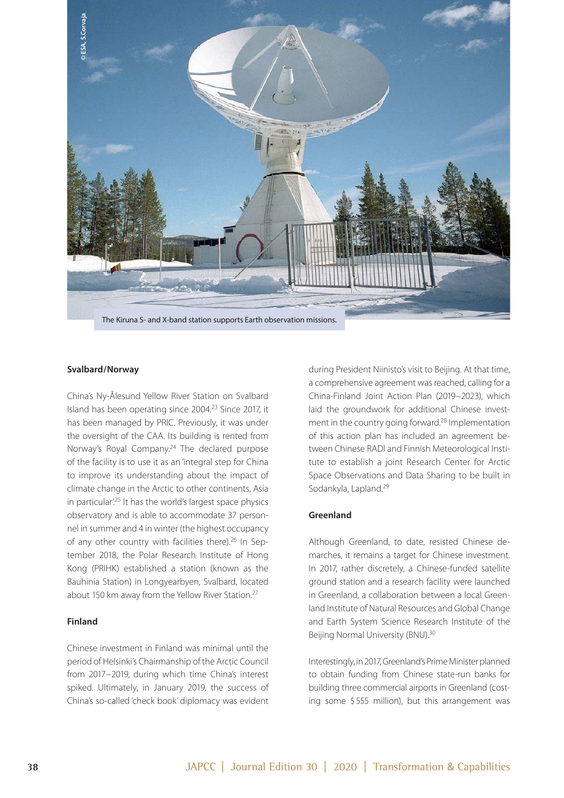

#### **Svalbard/Norway**

China's Ny-Ålesund Yellow River Station on Svalbard Island has been operating since 2004[.23](#page-5-0) Since 2017, it has been managed by PRIC. Previously, it was under the oversight of the CAA. Its building is rented from Norway's Royal Company.<sup>[24](#page-5-0)</sup> The declared purpose of the facility is to use it as an 'integral step for China to improve its understanding about the impact of climate change in the Arctic to other continents, Asia in particular'.<sup>25</sup> It has the world's largest space physics observatory and is able to accommodate 37 personnel in summer and 4 in winter (the highest occupancy of any other country with facilities there).<sup>26</sup> In September 2018, the Polar Research Institute of Hong Kong (PRIHK) established a station (known as the Bauhinia Station) in Longyearbyen, Svalbard, located about 150 km away from the Yellow River Station[.27](#page-5-0)

#### **Finland**

Chinese investment in Finland was minimal until the period of Helsinki's Chairmanship of the Arctic Council from 2017–2019, during which time China's interest spiked. Ultimately, in January 2019, the success of during President Niinisto's visit to Beijing. At that time, a comprehensive agreement was reached, calling for a China-Finland Joint Action Plan (2019–2023), which laid the groundwork for additional Chinese investment in the country going forward[.28](#page-5-0) Implementation of this action plan has included an agreement between Chinese RADI and Finnish Meteorological Institute to establish a joint Research Center for Arctic Space Observations and Data Sharing to be built in Sodankyla, Lapland[.29](#page-5-0)

#### **Greenland**

Although Greenland, to date, resisted Chinese demarches, it remains a target for Chinese investment. In 2017, rather discretely, a Chinese-funded satellite ground station and a research facility were launched in Greenland, a collaboration between a local Greenland Institute of Natural Resources and Global Change and Earth System Science Research Institute of the Beijing Normal University (BNU).<sup>30</sup>

Interestingly, in 2017, Greenland's Prime Minister planned to obtain funding from Chinese state-run banks for building three commercial airports in Greenland (costing some \$555 million), but this arrangement was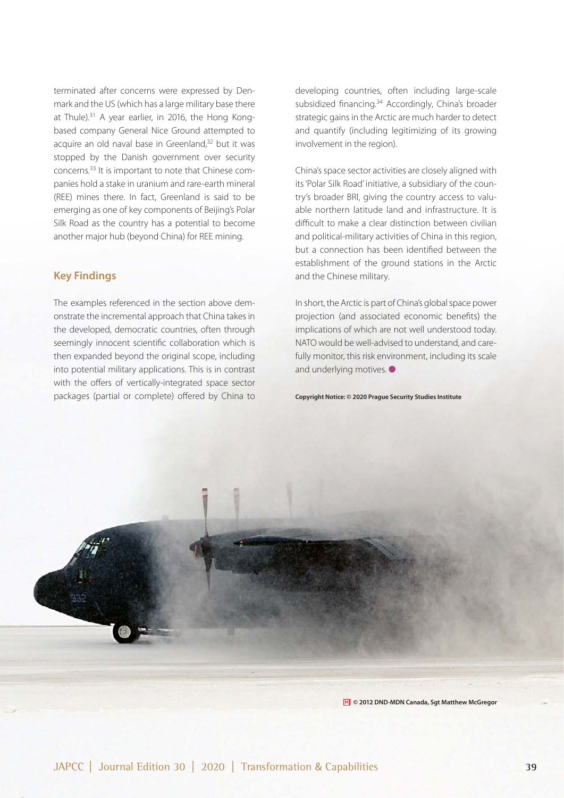terminated after concerns were expressed by Denmark and the US (which has a large military base there at Thule).<sup>[31](#page-5-0)</sup> A year earlier, in 2016, the Hong Kongbased company General Nice Ground attempted to acquire an old naval base in Greenland.<sup>[32](#page-5-0)</sup> but it was stopped by the Danish government over security concerns.[33](#page-5-0) It is important to note that Chinese companies hold a stake in uranium and rare-earth mineral (REE) mines there. In fact, Greenland is said to be emerging as one of key components of Beijing's Polar Silk Road as the country has a potential to become another major hub (beyond China) for REE mining.

#### **Key Findings**

The examples referenced in the section above demonstrate the incremental approach that China takes in the developed, democratic countries, often through seemingly innocent scientific collaboration which is then expanded beyond the original scope, including into potential military applications. This is in contrast with the offers of vertically-integrated space sector packages (partial or complete) offered by China to

developing countries, often including large-scale subsidized financing.<sup>[34](#page-5-0)</sup> Accordingly, China's broader strategic gains in the Arctic are much harder to detect and quantify (including legitimizing of its growing involvement in the region).

China's space sector activities are closely aligned with its 'Polar Silk Road' initiative, a subsidiary of the country's broader BRI, giving the country access to valuable northern latitude land and infrastructure. It is difcult to make a clear distinction between civilian and political-military activities of China in this region, but a connection has been identified between the establishment of the ground stations in the Arctic and the Chinese military.

In short, the Arctic is part of China's global space power projection (and associated economic benefits) the implications of which are not well understood today. NATO would be well-advised to understand, and carefully monitor, this risk environment, including its scale and underlying motives.  $\bullet$ 

**Copyright Notice: © 2020 Prague Security Studies Institute**